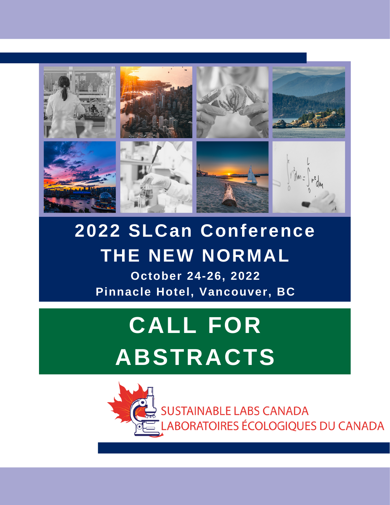

## **2022 SLCan Conference THE NEW NORMAL**

**October 24-26, 2022 Pinnacle Hotel, Vancouver, BC**

# **CALL FOR ABSTRACTS**

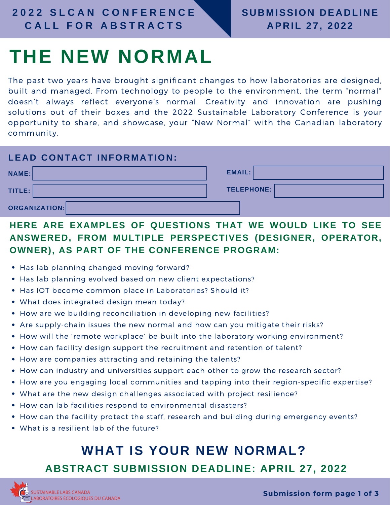## **THE NEW NORMAL**

The past two years have brought significant changes to how laboratories are designed, built and managed. From technology to people to the environment, the term "normal" doesn't always reflect everyone's normal. Creativity and innovation are pushing solutions out of their boxes and the 2022 Sustainable Laboratory Conference is your opportunity to share, and showcase, your "New Normal" with the Canadian laboratory community.

#### **LEAD CONTACT INFORMATION:**

| NAME:                | EMAIL:            |
|----------------------|-------------------|
| TITLE:               | <b>TELEPHONE:</b> |
| <b>ORGANIZATION:</b> |                   |

### **HERE ARE EXAMPLES OF QUESTIONS THAT WE WOULD LIKE TO SEE ANSWERED, FROM MULTIPLE PERSPECTIVES (DESIGNER, OPERATOR, OWNER), AS PART OF THE CONFERENCE PROGRAM:**

- Has lab planning changed moving forward?
- Has lab planning evolved based on new client expectations?
- Has IOT become common place in Laboratories? Should it?
- What does integrated design mean today?
- How are we building reconciliation in developing new facilities?
- Are supply-chain issues the new normal and how can you mitigate their risks?
- How will the 'remote workplace' be built into the laboratory working environment?
- How can facility design support the recruitment and retention of talent?
- How are companies attracting and retaining the talents?
- How can industry and universities support each other to grow the research sector?
- How are you engaging local communities and tapping into their region-specific expertise?
- What are the new design challenges associated with project resilience?
- How can lab facilities respond to environmental disasters?
- How can the facility protect the staff, research and building during emergency events?
- What is a resilient lab of the future?

## **WHAT IS YOUR NEW NORMAL?**

### **ABSTRACT SUBMISSION DEADLINE: APRIL 27, 2022**

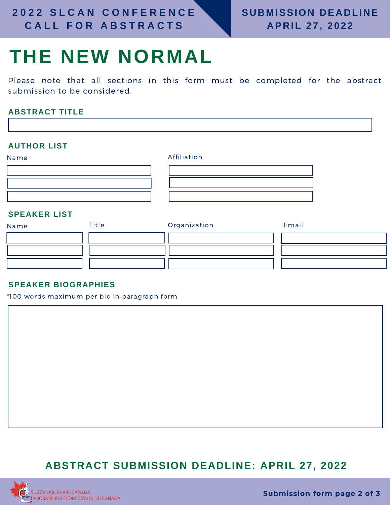## **THE NEW NORMAL**

Please note that all sections in this form must be completed for the abstract submission to be considered.

#### **ABSTRACT TITLE**

#### **AUTHOR LIST**

| Name                | Affiliation |  |
|---------------------|-------------|--|
|                     |             |  |
|                     |             |  |
|                     |             |  |
| <b>SPEAKER LIST</b> |             |  |

#### **SPEAKER LIST**

| Name | Title | Organization | Email |
|------|-------|--------------|-------|
|      |       |              |       |
|      |       |              |       |
|      |       |              |       |

#### **SPEAKER BIOGRAPHIES**

\*100 words maximum per bio in paragraph form

### **ABSTRACT SUBMISSION DEADLINE: APRIL 27, 2022**